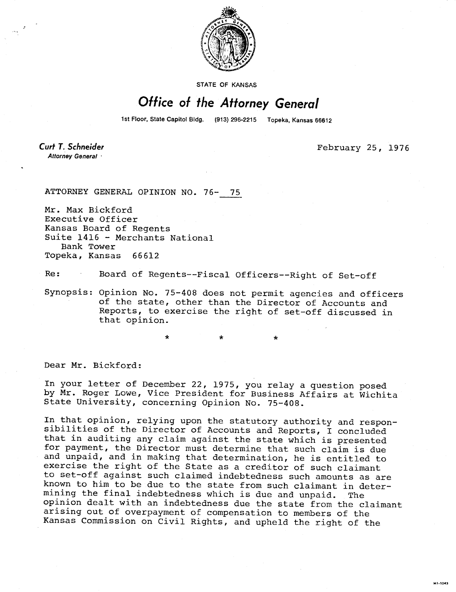

STATE OF KANSAS

## Office of the Attorney General

1st Floor, State Capitol Bldg. (913) 296-2215 Topeka, Kansas 66612

**Curt T. Schneider** Attorney General

February 25, 1976

ATTORNEY GENERAL OPINION NO. 76- 75

Mr. Max Bickford Executive Officer Kansas Board of Regents Suite 1416 - Merchants National Bank Tower Topeka, Kansas 66612

Re: Board of Regents--Fiscal Officers--Right of Set-off

\*

Synopsis: Opinion No. 75-408 does not permit agencies and officers of the state, other than the Director of Accounts and Reports, to exercise the right of set-off discussed in that opinion.

 $\star$ 

Dear Mr. Bickford:

In your letter of December 22, 1975, you relay a question posed by Mr. Roger Lowe, Vice President for Business Affairs at Wichita State University, concerning Opinion No. 75-408.

In that opinion, relying upon the statutory authority and responsibilities of the Director of Accounts and Reports, I concluded that in auditing any claim against the state which is presented for payment, the Director must determine that such claim is due and unpaid, and in making that determination, he is entitled to exercise the right of the State as a creditor of such claimant to set-off against such claimed indebtedness such amounts as are known to him to be due to the state from such claimant in determining the final indebtedness which is due and unpaid. The opinion dealt with an indebtedness due the state from the claimant arising out of overpayment of compensation to members of the Kansas Commission on Civil Rights, and upheld the right of the